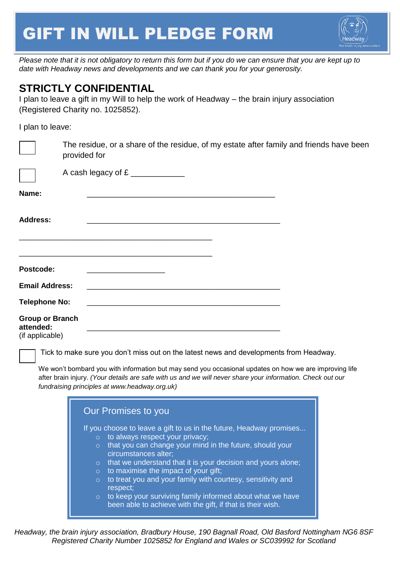## GIFT IN WILL PLEDGE FORM



*Please note that it is not obligatory to return this form but if you do we can ensure that you are kept up to date with Headway news and developments and we can thank you for your generosity.*

## **STRICTLY CONFIDENTIAL**

I plan to leave a gift in my Will to help the work of Headway – the brain injury association (Registered Charity no. 1025852).

I plan to leave:

|                                                        | The residue, or a share of the residue, of my estate after family and friends have been<br>provided for                                                                                          |
|--------------------------------------------------------|--------------------------------------------------------------------------------------------------------------------------------------------------------------------------------------------------|
|                                                        | A cash legacy of £                                                                                                                                                                               |
| Name:                                                  | <u> 1989 - Johann Stoff, amerikansk politiker (* 1908)</u>                                                                                                                                       |
| <b>Address:</b>                                        | <u> 1980 - Johann John Stone, mars eta biztanleria (h. 1980).</u>                                                                                                                                |
| Postcode:                                              |                                                                                                                                                                                                  |
| <b>Email Address:</b><br><b>Telephone No:</b>          |                                                                                                                                                                                                  |
| <b>Group or Branch</b><br>attended:<br>(if applicable) |                                                                                                                                                                                                  |
|                                                        | Tick to make sure you don't miss out on the latest news and developments from Headway.<br>We won't bombard you with information but may send you occasional updates on how we are improving life |

after brain injury. *(Your details are safe with us and we will never share your information. Check out our fundraising principles at www.headway.org.uk)*



*Headway, the brain injury association, Bradbury House, 190 Bagnall Road, Old Basford Nottingham NG6 8SF Registered Charity Number 1025852 for England and Wales or SC039992 for Scotland*